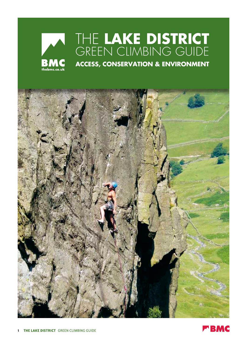## The **Lake District** GREEN CLIMBING GUIDE



**ACCESS, CONSERVATION & ENVIRONMENT**



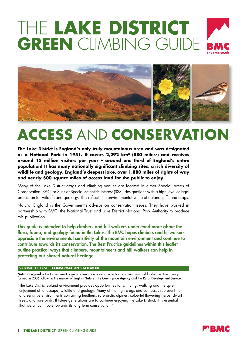# The **Lake District GREEN** CLIMBING GUIDE





## **ACCESS** AND **CONSERVATION**

**The Lake District is England's only truly mountainous area and was designated as a National Park in 1951. It covers 2,292 km2 (880 miles2) and receives around 15 million visitors per year – around one third of England's entire population! It has many nationally significant climbing sites, a rich diversity of wildlife and geology, England's deepest lake, over 1,880 miles of rights of way and nearly 500 square miles of access land for the public to enjoy.**

Many of the Lake District crags and climbing venues are located in either Special Areas of Conservation (SAC) or Sites of Special Scientific Interest (SSSI) designations with a high level of legal protection for wildlife and geology. This reflects the environmental value of upland cliffs and crags.

Natural England is the Government's advisor on conservation issues. They have worked in partnership with BMC, the National Trust and Lake District National Park Authority to produce this publication.

This guide is intended to help climbers and hill walkers understand more about the flora, fauna, and geology found in the Lakes. The BMC hopes climbers and hillwalkers appreciate the environmental sensitivity of the mountain environment and continue to contribute towards its conservation. The Best Practice guidelines within this leaflet outline practical ways that climbers, mountaineers and hill walkers can help in protecting our shared natural heritage.

#### Natural England – **Conservation Statement**

Natural England is the Government agency advising on access, recreation, conservation and landscape. The agency formed in 2006 following the merger of English Nature, The Countryside Agency and the Rural Development Service.

"The Lake District upland environment provides opportunities for climbing, walking and the quiet enjoyment of landscape, wildlife and geology. Many of the high crags and buttresses represent rich and sensitive environments containing heathers, rare arctic alpines, colourful flowering herbs, dwarf trees, and rare birds. If future generations are to continue enjoying the Lake District, it is essential that we all contribute towards its long term conservation."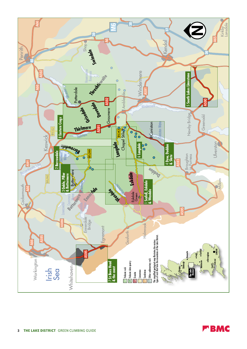

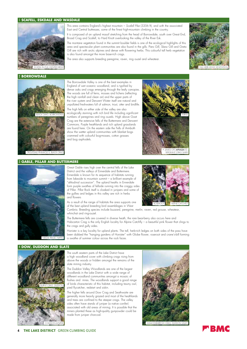#### 1 **SCAFELL, ESKDALE and WASDALE**



#### 2 **BORROWDALE**

Black Crag, Borrowdale

This area contains England's highest mountain – *Scafell Pike* (3206 ft), and with the associated East and Central buttresses, some of the finest high-mountain climbing in the country.

It is composed of an upland massif stretching from the head of Borrowdale, south over Great End, Broad Crag and Scafell, to Hard Knott overlooking the valley of the River Esk.

The montane vegetation found in the summit boulder fields is one of the ecological highlights of this area and spectacular plant communities are also found in the gills. Piers Gill, Skew Gill and Greta Gill are rich with arctic alpines and dense with flowering herbs. This colourful tall herb vegetation is also found amongst the more base-rich crags.

The area also supports breeding peregrine, raven, ring ouzel and wheatear.



England of wet oceanic woodland, and is typified by dense oaks and crags emerging through the leafy canopies. The woods are full of ferns, mosses and lichens (reflecting the high rainfall and clean air) and the upper parts of the river system and Derwent Water itself are natural and unpolluted freshwaters full of salmon, trout, otter and birdlife. The high fells on either side of the valley are also ecologically stunning with rich bird life including significant numbers of peregrines and ring ouzels. High above Goat Crag are the extensive fells of the Buttermere and Derwent Commons. Purple heathlands and rich upland grasslands are found here. On the eastern side the Fells of Armboth show the wetter upland communities with blanket bogs crammed with colourful bog-mosses, cotton grasses

The Borrowdale Valley is one of the best examples in

and bog asphodels.



#### 3 **GABLE, PILLAR and BUTTERMERE**

Troutdale Pinnacle S, Black Crag



Great Gable rises high over the central fells of the Lake District and the valleys of Ennerdale and Buttermere. Ennerdale is known for its sequence of habitats running from lakeside to mountain summit – a brilliant example of "altitudinal succession". The upland heaths in Ennerdale form purple swathes of fellside running into the craggy sides of Pillar. Pillar Rock itself is cloaked in junipers and some of the gullies and ledges in this valley are rich in herbs and flowers

As a result of the range of habitats the area supports one of the best upland breeding bird assemblages in West



Cumbria. Breeding species include buzzard, peregrine, merlin, raven, red grouse, wheatear, whinchat and ring-ouzel.

The Buttermere fells are covered in diverse heath, the rare bear-berry also occurs here and Hobcarton Crag is the only English locality for Alpine Catchfly – a beautiful pink flower that clings to the crags and gully sides.

Honister is a key locality for upland plants. The tall, herb-rich ledges on both sides of the pass have been dubbed the "hanging gardens of Honister" with Globe flower, roseroot and crane's-bill forming a swathe of summer colour across the rock faces.



The south eastern parts of the Lake District have a high woodland cover with climbing crags rising from above the woods or hidden amongst the remains of the slate mining industry.

The Duddon Valley Woodlands are one of the largest woodlands in the Lake District with a wide range of different woodland communities amongst a mosaic of flushes and mires. The woodlands support a good range of birds characteristic of this habitat, including tawny owl, pied flycatcher, redstart and siskin.

The higher fells around Dow Crag and Seathwaite are generally more heavily grazed and most of the heathlands and trees are confined to the steeper crags. The valley sides often have stands of juniper (a native conifer) associated with old areas of mining. It is possible that the miners planted these as high-quality gunpowder could be made from juniper charcoal.



**THE LAKE DISTRICT** GREEN CLIMBING GUIDE

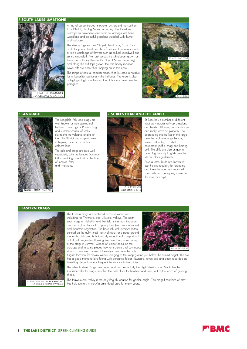#### **LIMESTONE**



A ring of carboniferous limestone runs around the southern Lake District, fringing Morecambe Bay. The limestone outcrops as pavements and scars set amongst ash-hazel woodland and colourful grassland studded with thyme and rockrose.

The steep crags such as Chapel Head Scar, Scout Scar and Humphrey Head are also of botanical importance with a rich assemblage of flowers such as spiked speedwell and spring cinquefoil. The rare Lancashire whitebeam grows on these crags (it only lives within 5km of Morecambe Bay) and along the cliff tops grows the rare hoary rockrose (lower-offs are better than topping out in this case).

The range of natural habitats means that this area is notable for its butterflies particularly the fritillaries. The area is also of high geological value and the high scars have breeding peregrine.



#### 6 **Langdale**



**BRACKEN CLOCK**, PAVEY AR

#### The Langdale Fells and crags are well known for their geological features. The crags of Raven Crag and Gimmer consist of rocks illustrating the volcanic origins of the Lake District and a giant crater collapsing to form an ancient caldera lake.

The gills and crags are also well vegetated, with the famous Dungeon Gill containing a fantastic collection of mosses, ferns and liverworts.

#### 7 **St BEES HEAD AND THE COAST**



St Bees has a number of different habitats – natural cliff-top grassland and heath, cliff face, coastal shingle and rocky wave-cut platform. The outstanding interest lies in the large breeding colonies of guillemots, fulmar, kittiwake, razorbill, cormorant, puffin, shag and herring gull. The cliffs are also unique in providing the only English breeding site for black quillemots.

Several other birds are known to use this site regularly for breeding and these include the tawny owl, sparrowhawk, peregrine, raven and the rare rock pipit.

#### 8 **EASTERN CRAGS**



The Eastern crags are scattered across a wide area including the Thirlmere, and Ullswater valleys. The northsouth ridge of Helvellyn and Fairfield is the most important area in England for arctic alpine plants (such as saxifrages) and mountain vegetation. The base-rich rock outcrops (often centred on the gully lines), harsh climates and steep ground means that this area is botanically exceptional. Large stands of tall herb vegetation (looking like meadows) cover many of the crags in summer. Stands of juniper occur on the outcrops and in some places they form dense and continuous

stands. The eastern coves of Helvellyn also have the only



English location for downy willow (clinging to the steep ground just below the summit ridge). The site has a good montane bird fauna with peregrine falcon, buzzard, raven and ring ouzel recorded as breeding. Snow buntings frequent the summits in the winter.

The other Eastern Crags also have good flora especially the High Street range. Much like the Coniston Fells the crags are often the best place for heathers and trees, out of the reach of grazing sheep.

The Haweswater valley is the only English location for golden eagle. This magnificent bird of prey has held territory in the Mardale Head area for many years.

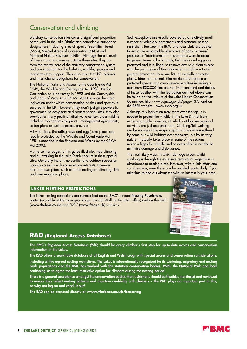## Conservation and climbing

Statutory conservation sites cover a significant proportion of the land in the Lake District and comprise a number of designations including Sites of Special Scientific Interest (SSSIs), Special Areas of Conservation (SACs) and National Nature Reserves (NNRs). Although there is much of interest and to conserve outside these sites, they do form the central core of the statutory conservation system and are important for the habitats, wildlife, geology and landforms they support. They also meet the UK's national and international obligations for conservation.

The National Parks and Access to the Countryside Act 1949, the Wildlife and Countryside Act 1981, the Rio Convention on biodiversity in 1992 and the Countryside and Rights of Way Act (CROW) 2000 provide the main legislation under which conservation of sites and species is secured in the UK. However, they don't just give powers to government to designate and protect special sites, they also provide for many positive initiatives to conserve our wildlife including mechanisms for grants, management agreements, action plans as well as access provision.

All wild birds, (including nests and eggs) and plants are legally protected by the Wildlife and Countryside Act 1981 (amended in the England and Wales by the CRoW Act 2000).

As the central pages to this guide illustrate, most climbing and hill walking in the Lake District occurs in these special sites. Generally there is no conflict and outdoor recreation happily co-exists with conservation interests. However, there are exceptions such as birds nesting on climbing cliffs and rare mountain plants.

Such exceptions are usually covered by a relatively small number of voluntary agreements and seasonal nesting restrictions (between the BMC and local statutory bodies) to avoid the unpalatable alternative of bans, or fines/ prosecution/imprisonment if disturbance were to occur. In general terms, all wild birds, their nests and eggs are protected and it is illegal to remove any wild plant except with the permission of the landowner. In addition to this general protection, there are lists of specially protected plants, birds and animals (the reckless disturbance of protected species can carry severe penalties including a maximum £20,000 fine and/or imprisonment) and details of these together with the legislation outlined above can be found on the website of the Joint Nature Conservation Committee. http://www.jncc.gov.uk/page-1377 and on the RSPB website – www.rspb.org.uk.

Although this legislation may seem over the top, it is needed to protect the wildlife in the Lake District from increasing public pressure, of which outdoor recreational activities are just one small part. Climbing/hill walking are by no means the major culprits in the decline suffered by some our wild habitats over the years, but by its very nature, it usually takes place in some of the regions major refuges for wildlife and so extra effort is needed to minimise damage and disturbance.

The most likely ways in which damage occurs whilst climbing is through the excessive removal of vegetation or disturbance to nesting birds. However, with a little effort and consideration, even these can be avoided, particularly if you take time to find out about the wildlife interest in your area.

### **Lakes NESTING RESTRICTIONS**

The Lakes nesting restrictions are summarised on the BMC's annual Nesting Restrictions poster (available at the main gear shops, Kendal Wall, or the BMC office) and on the BMC (www.thebmc.co.uk) and FRCC (www.frcc.co.uk) websites.

## **RAD (Regional Access Database)**

The BMC's *Regional Access Database (RAD)* should be every climber's first stop for up-to-date access and conservation information in the Lakes.

The RAD offers a searchable database of all English and Welsh crags with special access and conservation considerations,

including all the agreed nesting restrictions. The Lakes is internationally recognised for its wintering, migratory and nesting birds populations and the BMC has worked with the statutory conservation bodies, RSPB, the National Park and local ornithologists to agree the least restrictive option for climbers during the nesting period.

There is a general acceptance amongst the conservation bodies that restrictions should be flexible, monitored and reviewed to ensure they reflect nesting patterns and maintain credibility with climbers – the RAD plays an important part in this, so why not log-on and check it out?

The RAD can be accessed directly at **www.thebmc.co.uk/bmccrag**



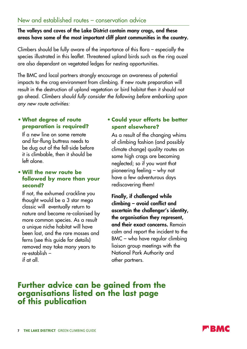## New and established routes – conservation advice

## The valleys and coves of the Lake District contain many crags, and these areas have some of the most important cliff plant communities in the country.

Climbers should be fully aware of the importance of this flora – especially the species illustrated in this leaflet. Threatened upland birds such as the ring ouzel are also dependant on vegetated ledges for nesting opportunities.

The BMC and local partners strongly encourage an awareness of potential impacts to the crag environment from climbing. If new route preparation will result in the destruction of upland vegetation or bird habitat then it should not go ahead. *Climbers should fully consider the following before embarking upon any new route activities:*

## **• What degree of route preparation is required?**

 If a new line on some remote and far-flung buttress needs to be dug out of the fell-side before it is climbable, then it should be left alone.

## **• Will the new route be followed by more than your second?**

 If not, the exhumed crackline you thought would be a 3 star mega classic will eventually return to nature and become re-colonised by more common species. As a result a unique niche habitat will have been lost, and the rare mosses and ferns (see this guide for details) removed may take many years to re-establish – if at all.

## **• Could your efforts be better spent elsewhere?**

 As a result of the changing whims of climbing fashion (and possibly climate change) quality routes on some high crags are becoming neglected; so if you want that pioneering feeling – why not have a few adventurous days rediscovering them!

 Finally, if challenged while climbing – avoid conflict and ascertain the challenger's identity, the organisation they represent, and their exact concerns. Remain calm and report the incident to the BMC – who have regular climbing liaison group meetings with the National Park Authority and other partners.

## **Further advice can be gained from the organisations listed on the last page of this publication**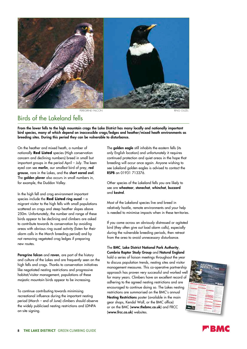

PEREGRINE FAICON

## Birds of the Lakeland fells

From the lower fells to the high mountain crags the Lake District has many locally and nationally important bird species, many of which depend on inaccessible crags/ledges and heather/mixed heath environments as breeding sites. During this period they can be vulnerable to disturbance.

On the heather and mixed heath, a number of nationally **Red Listed** species (High conservation concern and declining numbers) breed in small but important groups in the period April – July. The keen eyed can see merlin, our smallest bird of prey, red grouse, rare in the Lakes, and the short eared owl. The golden plover also occurs in small numbers in, for example, the Duddon Valley.

In the high fell and crag environment important species include the **Red Listed** ring ouzel – a migrant visitor to the high fells with small populations scattered on crags and steep heather slopes above 250m. Unfortunately, the number and range of these birds appear to be declining and climbers are asked to contribute towards its conservation by avoiding areas with obvious ring ouzel activity (listen for their alarm calls in the March breeding period) and by not removing vegetated crag ledges if preparing new routes.

Peregrine falcon and raven, are part of the history and culture of the Lakes and are frequently seen on the high fells and crags. Thanks to conservation initiatives like negotiated nesting restrictions and progressive habitat/visitor management, populations of these majestic mountain birds appear to be increasing.

To continue contributing towards minimising recreational influence during the important nesting period (March – end of June) climbers should observe the widely publicised nesting restrictions and LDNPA on-site signing.

The **golden eagle** still inhabits the eastern fells (its only English location) and unfortunately it requires continued protection and quiet areas in the hope that breeding will occur once again. Anyone wishing to see Lakeland golden eagles is advised to contact the RSPB on 01931 713376.

Other species of the Lakeland fells you are likely to see are wheatear, stonechat, whinchat, buzzard and kestrel.

Most of the Lakeland species live and breed in relatively hostile, remote environments and your help is needed to minimise impacts when in these territories.

If you come across an obviously distressed or agitated bird (they often give out load alarm calls), especially during the vulnerable breeding periods, then retreat from the area to avoid unnecessary disturbance.

## The BMC, Lake District National Park Authority,

Cumbria Raptor Study Group and Natural England hold a series of liaison meetings throughout the year to discuss population trends, nesting sites and visitor management measures. This co-operative partnership approach has proven very successful and worked well for many years. Climbers have an excellent record of adhering to the agreed nesting restrictions and are encouraged to continue doing so. The Lakes nesting restrictions are summarised on the BMC's annual Nesting Restrictions poster (available in the main gear shops, Kendal Wall, or the BMC office) or on the BMC (www.thebmc.co.uk) and FRCC (www.frcc.co.uk) websites.



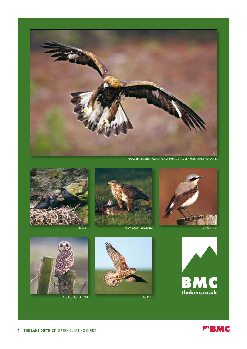

Golden Eagle (Aquila chrysaetos) adult preparing to land